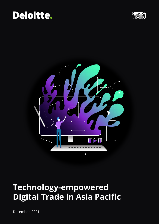# Deloitte.

德勤



# **Technology-empowered Digital Trade in Asia Pacific**

December ,2021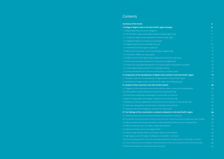## **Contents**

#### **Summary of the trends**

**I. Ecology of digital trade in the Asia Pacific region emer** 1.1 Global trade enters the era of intelligence 1.2 The Asia Pacific region seizes opportunities to develop dig 1.2.1 Enterprises speed up the deployment of online foreign t 1.2.2 Digitalized habits of consumers are intensified 1.2.3 Digital infrastructure is constantly improved 1.2.4 The RCEP promotes regional cooperation 1.3 SMEs are the main driver for the transformation of digital 1.3.1 Asia Pacific mMNEs are rising rapidly 1.3.2 SMEs and the overall digital trade complement and reinf 1.4 Green and sustainable development is a key theme of dig 1.4.1 Green and sustainable development is an important goal 1.4.2 Consumption of green products is increasingly booming 1.4.3 Green development of e-commerce enterprises is constantly **II. Comparison of the development of digital trade mark** 2.1 Evaluation system for the development of digital trade in 2.2 Development of digital trade in the Asia Pacific region and **III. Analysis of key countries in the Asia Pacific market** 3.1 Singapore, as the international finance and maritime cent 3.2 China's platform-based development drives the cross-bord 3.3 South Korea strategically turbocharges its cross-border e-3.4 Japan's strong logistics technologies underpin the cross-border 3.5 Malaysia's continuous digitalization penetration drives the 3.6 Indonesia's demographic dividend keeps unleashing mark 3.7 E-payment rate of the Philippines constrains the online trade **IV. Ten findings of the cross-border e-commerce dynami** 4.1 Small businesses account for more than 85% of cross-bord 4.2 "Cross-border home-bound economy" comes into prominence with 4.3 Mature markets favor Europe and America, while developi 4.4 70% of enterprises hope to establish independent websites 4.5 Payment and sales are the most digitized links 4.6 Instant receipt of funds makes cross-border collection mo 4.7 High logistics cost is the largest challenge to cross-border 4.8 "Genuine goods guarantee" is vital to the sustainable developme 4.9 Customs clearance process simplification and tariff reduction are 4.10 Green development is turning from goal into action

|                                                      | 4               |
|------------------------------------------------------|-----------------|
| ges                                                  | $6\phantom{1}$  |
|                                                      | 6               |
| ital trade                                           | $\overline{7}$  |
| rade                                                 | $\overline{7}$  |
|                                                      | $\overline{7}$  |
|                                                      | 9               |
|                                                      | 12              |
| trade                                                | 15              |
|                                                      | 15              |
| orce each other                                      | 15              |
| tal trade                                            | 16              |
| Il of Asia Pacific economies                         | 16              |
|                                                      | 16              |
| antly valued                                         | 16              |
| <b>cets in the Asia Pacific region</b>               | 17              |
| he Asia Pacific region                               | $\overline{17}$ |
| market grouping                                      | 17              |
|                                                      | 20              |
| er, connects the Southeast Asia                      | 20              |
| der trade                                            | 21              |
| commerce                                             | 22              |
| order trade                                          | 23              |
| growth of cross-border trade                         | 24              |
| et potential                                         | 25              |
| ide                                                  | 26              |
| ics in the Asia Pacific region                       | 28              |
| der e-commerce                                       | 28              |
| C electronic products emerging as an export mainstay | 28              |
| ng markets focus on Southeast Asia                   | 29              |
| ës                                                   | 32              |
|                                                      | 33              |
| re efficient                                         | 34              |
| e-commerce                                           | 35              |
| it of supply chains of cross-border e-commerce       | 36              |
| the main expectations after the RCEP takes effect    | 36              |
|                                                      | 37              |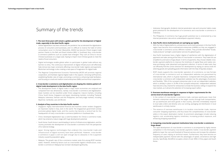## Summary of the trends

#### **1. The next three years will remain a golden period for the development of digital trade, especially in the Asia Pacific region**

- Global digitalization has been enhanced, the pandemic has accelerated the digitalization process of consumers and businesses, and it is difficult to reverse the habit of online consumption once it is formed. Meanwhile, ASEAN has become China's largest trade partner thanks to the Belt and Road Initiative (BRI). In Southeast Asia, cross-border e-commerce platforms such as Lazada have emerged. They rush at China to recruit Chinese businesses on a large scale, hoping to import more Chinese goods to meet the needs of local consumers.
- Digital technologies enable global sellers to participate in global trade without any barriers to entry. The continuous improvement of digital infrastructure will effectively help remove two major constraints affecting cross-border trade: logistics and payments. Blockchain technology is also creating a new space of imagination for digital trade.
- The Regional Comprehensive Economic Partnership (RCEP) will promote regional cooperation, and facilitate regional digital trade in five aspects: removing tariff barriers, establishing flexible rules of origin, promoting e-commerce, enhancing trade facilitation, and focusing on small and medium-sized enterprises (SMEs) and technical cooperation.

#### **2. Cross-border e-commerce and digitalization are shaping the relative pattern of digital trade development in the Asia Pacific region**

• The development levels of digital trade in major Asian economies are analyzed and compared from two dimensions, namely cross-border e-commerce and digitalization. Asian markets can be classified under three categories: mature markets, including China, South Korea, Singapore and Japan; developing markets, including Thailand, Malaysia, Indonesia, Vietnam and the Philippines; and early-stage markets, including Myanmar, Cambodia, Laos and Brunei.

#### **3. Analysis of key countries in the Asia Pacific market**

- Singapore: Highly internationalized financial and maritime center renders Singapore an important market in Asia, even in the world. The Singaporean government actively promotes global digital trade, and the country has become a central hub for the headquarters of many cross-border e-commerce platforms in Southeast Asia.
- China: Developed digitalization lays a solid foundation for China's e-commerce trade, which has entered a mature stage with huge development potential.
- South Korea: South Korea is world-leading in terms of infrastructure digitization, and the country promotes the development of cross-border e-commerce from the perspective of its national strategy.
- Japan: Strong logistics technologies that underpin the cross-border trade and infrastructure of digital economy have been perfected. However, cross-border e-commerce in Japan is still not open enough due to obstacles in the e-payment industry caused by population aging.
- Malaysia: The growth rate of the e-commerce market ranks first among RCEP member states. However, limited by factors such as cross-border logistics infrastructure, crossborder e-commerce in Malaysia has not been developed significantly.

• Indonesia: Demographic dividend, internet penetration rate and consumer habits create great potential for the development of e-commerce and cross-border e-commerce in

- Indonesia.
- 

• The Philippines: E-commerce has huge growth potential, but is constrained by a low internet penetration rate and an undeveloped e-payment industry.

### **4. Asia Pacific micro-multinationals are springing up rapidly**

- 
- 
- 

• With the help of digital platforms, entrepreneurs and small businesses in the Asia Pacific region have become micro-multinational enterprises (mMNEs) as they are engaged in cross-border e-commerce across different markets. They provide diversified "locallymade products" and light customization services for global buyers.

• Asia Pacific businesses have a higher degree of satisfaction with the digitalization of payments and sales among all the links of cross-border e-commerce. They make full use of platforms and tools to forge ahead. In terms of payments, they choose reliable crossborder payment platforms to improve the timeliness of capital flows and realize onestop purchasing, order placement and payment collection. In terms of sales tools, they can efficiently find the correct direction for development by relying on various tools for selecting goods and uploading goods information with the help of big data analysis.

• RCEP clearly supports the cross-border operation of e-commerce, so new formats of cross-border e-commerce such as independent websites are guaranteed by international rules, which is of great importance. Compared with third-party platforms, cross-border e-commerce with independent websites has the advantages of precision and flexibility. 70% of the surveyed enterprises plan to set up independent websites, which is already in place in 33.4% of the surveyed enterprises. Independent websites have become a key channel for enterprises to break the business ceiling or expand into new markets, as it attracts the attention of increasing export sellers.

### **5. Overseas warehouse emerges in response to higher requirements for the service level of cross-border logistics**

• In the context of cross-border e-commerce trade, overseas warehouses mean that domestic enterprises send goods to the target country through bulk transportation, set up warehouses and store goods in that country, and then immediately respond to local sales orders and directly carry out sorting, packaging and distribution in local

- warehouses in a timely manner.
- enhancing shopping experience.

• The essence of overseas warehouses is to localize cross-border trade, improve consumer shopping experience, and thus boost the competitiveness of cross-border sellers in the export destination market. Its prominent advantages include reducing logistics cost, accelerating logistics timeliness, increasing product exposure, and

### **6. Competing cross-border payment institutions help cross-border e-commerce**

## **forge ahead**

• The rapid development of cross-border e-commerce is accompanied by highly intense competition in the third-party cross-border payments market. Cross-border payment platforms lower the cost and threshold of financial services and increase the utilization frequency of users relying on technical means. Furthermore, they have become an indispensable payment channel with the advantages of speed, convenience and high security. Specifically, WorldFirst occupies a share of over 40% in China, Japan and South

Korea.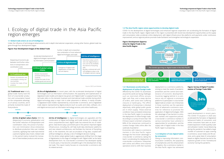rapid development in recent years. The COVID-19 situation in 2020 also accelerated the formation of digitalized behavioral habits of consumers, and online consumers have seen an accelerated expansion in both quantity scale and utilization market. Social distancing during the pandemic has added a large number of customers to apps covering e-commerce, social media and life services, and a great deal of consumption based on digital channels has led to the explosive growth of the "homebound economy" during the pandemic.

#### **1.2 The Asia Pacific region seizes opportunities to develop digital trade**

Affected by the COVID-19, businesses around the world are facing challenges such as restricted offline venues, tight cash flow, and a steep decline of orders, with some even suffering closures or bankruptcy. The offline deployment of enterprises is blocked objectively, while global public goods are in short supply. These external conditions have prompted enterprises in the Asia Pacific region to accelerate the deployment of online foreign trade. According to a survey of more than 100 Chinese export-oriented companies, 84% of the enterprises continued to conduct foreign trade online after the outbreak of pandemic<sup>1</sup>.

COVID-19, the development of digital technologies and enhanced regional cooperation are accelerating the formation of digital trade in the Asia Pacific region. Digital trade in this region is presented with brand-new development opportunities as the supply and consumption sides accelerate online deployment, with digital infrastructure like platforms and payments under continuous improvement, and as regional policies promote trade facilitation and strengthen technological cooperation.

**(1) Traditional era:**Initially, global trade mainly took the form of cross-border production and consumption based on the comparative advantages of various countries, and it primarily involved the trade of final products.

## I. Ecology of digital trade in the Asia Pacific region emerges

#### **1.1 Global trade enters an era of intelligence**

Under the influence of technological advancements and in-depth international cooperation, among other factors, global trade has gone through four development stages:

#### **Figure: Four Development Stages of the Global Trade**

**Figure: Survey of Digital Transformation of Foreign Trade SMEs**

### **1.2.1 Businesses accelerating the deployment of online foreign trade**

Economies with mature e-commerce markets in the Asia Pacific region leverage the first-mover advantage in cross-border e-commerce, taking the lead in accelerating the deployment of cross-border e-commerce. Enterprises with online and offline omni-channel operations tend to shift their business





Data source: ebrunresearch

**(4) Era of intelligence:** As digital technologies are upgraded, and the combination of digital technology and trade evolves to a deeper and more comprehensive level, digital trade has entered the era of intelligence. Data factors play a prominent part in this period. Important digital infrastructure, including 5G, will help build data distribution platforms and new network architectures, and facilitate the Internet of Everything (IoE). In the meantime, the vast accumulation of big data, coupled with artificial intelligence, will play a role of intelligent decision-making.

On the whole, today's global trade is aggressively shifting from the stage of digitalization to the stage of intelligence with "digital trade" as the latest development form. As cross-border e-commerce has developed rapidly in recent years, it has become a breakthrough in the development of digital trade. This report mainly focuses on cross-border e-commerce and its related services.

**(3) Era of digitalization:** In recent years, with the accelerated development of digital technologies such as information communication, the popularity and sophistication of digitalized trade models and objects has grown and "digital trade" is surging forward. Digital trade refers to the domestic business and international trade activities during which digital technology plays a major role in order placement or delivery. It mainly includes: 1) digitalized trade models represented by cross-border e-commerce, and 2) digitalized trade objects represented by digital products (such as audio and video, software, etc.) and digital services (such as information technology services, and online healthcare).

**(2) Era of global value chains:** With the deepening of economic globalization and the further reduction of transportation and coordination costs, the pursuit of production cost minimization drove enterprises to distribute production links over multiple countries, signifying that trade had entered a period of global value chains. Global trade in this period mainly involved the transaction of intermediate products and services.

deployment to e-commerce platforms, striving to meet the needs of pandemic prevention and the control and maintenance of economic development. Countries lagging behind in e-commerce rely on regional e-commerce platforms to participate in cross-border digital trade at a lower cost. Enterprises in these countries use the operation levels of advanced e-commerce countries for reference to promote the application of digital technologies. With the advantage of low barriers to entry, vast markets and supportive policies, cross-border e-commerce markets in various economies have ushered in opportunities for acceleration, and the supply side of digital trade in the Asia Pacific region is prospering.



#### **1.2.2 Adoption of new digital habits by consumers**

Owing to improving information communication conditions, the popularity of smartphones and the enhancement of logistics, the e-commerce market in the Asia Pacific region has witnessed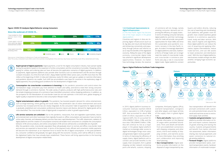I. Ecology of digital trade in the Asia Pacific region emerges

**Rapid spread of digital payments:** Digital payments, a tool for the digital consumption industry, have spread rapidly during the pandemic based on the expansion of online consumption and the convenience it provides. Shopping online, paying for utilities and ordering take-out have all become the application scenarios of digital payments. In addition to payments, digital payment platforms also provide other functions such as entertainment and life services through constant innovation. As of the first half of 2021, Alipay Wallet had 850 million active users, one fifth more than the 700 million at the beginning of 2020. In India and Indonesia, nearly 50 million users got an update on real-time information and pandemic dynamics via e-wallet. Such shift has accumulated a user base for countries in the exploratory stage of digital payments, thus providing good conditions for the development of digital trade.

#### **Figure: COVID-19 Catalyzes Digital Behavior among Consumers**

#### **Figure: Digital Platforms Facilitate Trade Integration**

#### **Since the outbreak of COVID-19…**

Data source: United Nations Conference on Trade and Development

Note: This survey, conducted in June 2020, covers nine countries, including Brazil, China, Germany, Italy, Russia, South Korea, South Africa, Switzerland and Turkey.

 $\sqrt{ }$ 

Data source: IBM



**Digital entertainment ushers in growth:** The pandemic has boosted people's demand for online entertainment, such as binge-watching, online gaming and social media. The penetration rate of online entertainment and social scenarios has increased and the two are closely integrated. As the consumers' habit of payments for digital products is gradually established and consumption preferences become mature and diverse, demand for digital goods will be more diversified. The cross-border trade of digital goods is expected to usher in growth opportunities.



**Consumption via cross-border e-commerce is booming:** As the pandemic prevention and control enters the normalization stage, consumers pay more attention to health and safety, and tend to meet their strong consumer demand through e-commerce channels. The wide variety of options, products with high performance-price ratio and the simple shopping processes of e-commerce have intensified consumers' online shopping preference. In addition, as the prospects for the liberalization of cross-border travel do not look optimistic in the short term, global shopping of higher quality is expected to become a new consumption lifestyle model.



**Life service scenarios are unlocked:** Due to the pandemic, restaurants, fruit and vegetable supermarkets, leisure and entertainment and other businesses that originally focused on offline consumption and operation have turned to online sales channels, and takeaway delivery services have seen rapid development. The traffic obtainment, radiation of digital platforms and the creation of consumption scenarios will enable more consumers to complete the consumption behavior of life service products, and online consumption of life services will become a considerable are of growth. After the pandemic ends, cross-border population flows will gradually return to normal, and offline cross-border retail and services are expected to bounce back. In terms of the payment tools, efficient and convenient mobile payments will become the mainstream as an important force to boost the life of digital consumption. In the post-pandemic era, consumer confidence will gradually rise again along with the economic recovery, and it will be difficult to reverse the digitalized habits that have already been established. These factors will bring opportunities to the booming development of digital consumption-related fields.



#### **1.2.3 Continued improvements to digital infrastructure**

#### (1) The Asia Pacific region has become one of the major players in the global digital platform

Countries and regions in Asia are improving digital infrastructure (such as AI, big data and cloud and blockchain) and enhancing connectivity and popularity through policies and reforms so as to reap the benefits of the digitalized economy. Riding the wave of the digital economy, cross-border digital trade has ushered in significant development opportunities. However, no matter how technology iterates, the essence

of commerce will not change, namely meeting consumer demand and improving the efficiency of supply chains. In terms of meeting consumer demand, digital platforms and their technology tools for trade will provide new growth opportunities for Asian SMEs and drive the sustainable post-pandemic economic recovery in the Asia Pacific region. As trade is increasingly dependent on digital platforms and tools, traditional forms of foreign trade can no longer meet the needs of cross-border trade, and cross-border e-commerce platforms also play a role in cross-border digital trade. Digital platforms connect

buyers and sellers directly, reducing the cost of searching and coordinating. Such platforms, with greater room for growth, have created seamless global markets in e-commerce, payments, travel, study and labor services. With data, search engines and algorithms, these digital platforms can reduce the cost of acquiring and applying information, bypass intermediaries, reduce trade barriers, and use idle assets to lower production and distribution costs<sup>2</sup>. With the rise of digital platforms, new business models emerge one after another, bringing huge economic opportunities.

In 2019, digital platform business-toconsumer revenues reached US\$3.8 trillion, equivalent to 4.4% of global GDP. Asia accounted for about 48% (US\$1.8 trillion; equivalent to 6% of regional GDP), the US accounted for 22% (US\$836.7 billion; 3.9%), and the euro area 12% (US\$445.3 billion; 3.3%). Asia will continue its rise as a major player in the global digital platform market as increasingly wider access to digital technologies brings more users and generates higher revenue growth<sup>2</sup>. In terms of improving the efficiency of supply chains, digital platforms aim to connect and provide benefits to the supply chain ecosystem, form a global shipping corridor network connecting ports and wharfs, customs, shipping

companies, third-party logistics (3PLs), overland transportation, consignors and other players, and impact all links of the supply chain in global digital trade.

**• Ports and wharfs:** Digital platforms provide information on the disposal of cargos within port/wharf boundaries. Ports and wharfs will benefit from pre-established connections with shipping companies and other actors, end-to-end visibility of shipping corridors, and real-time access to more information, thus enriching port collaboration and improving wharf planning.

**• Sea transportation:** Digital platforms provide information on the disposal of cargo transported by sea.

Sea transportation will benefit from pre-built connections with customers and ports/terminals around the world and real-time access to end-toend supply chain activities.

- **Customs and governments:** Digital platforms provide information on import and export customs clearance of goods entering and leaving the country. Customs and governments will benefit from better-informed risk assessment, better information sharing, less manual paperwork, and easier connection to national single-window platforms.
- **Forward freight:** Digital platforms provide transportation plans, overland transportation events, handover information of multimodal transpor-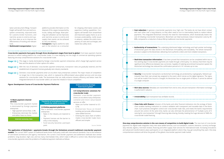I. Ecology of digital trade in the Asia Pacific region emerges

| ents incur high cost. The banks do not have direct contact<br>ften need to turn to intermediary banks to realize indirect<br>he need for intermediaries, which dramatically lowers the<br>chain can help businesses reduce transaction costs by 40-<br>aditional cross-border payments.                              |  |
|----------------------------------------------------------------------------------------------------------------------------------------------------------------------------------------------------------------------------------------------------------------------------------------------------------------------|--|
| distributed ledger technology and hash pointer technology<br>chain immutability and traceability. The whole transaction                                                                                                                                                                                              |  |
| ore authentic orders and more reliable transactions.                                                                                                                                                                                                                                                                 |  |
| en proved that transactions can be completed within two to<br>made through a third party. It is obvious that there may be<br>ies. Capable of realizing second-level transaction speed, the<br>tion period to 6-141 minutes up to now.                                                                                |  |
| ain technology are protected by cryptography. Network par-<br>the event, which serves as the digital signature. The signa-<br>lockchain has no single point of failure, it cannot be altered                                                                                                                         |  |
| rom end to end, and pre-transaction information exchange                                                                                                                                                                                                                                                             |  |
| ecords.                                                                                                                                                                                                                                                                                                              |  |
|                                                                                                                                                                                                                                                                                                                      |  |
| ks and other financial institutions into the ecology of block-<br>alidation with transparent and traceable data in the block-<br>oss-border trade risks, and meets the bank's requirements<br>an also eliminate the phenomenon of "multiple sums of fi-<br>lata sharing, thereby meeting the huge demand of SMEs for |  |
|                                                                                                                                                                                                                                                                                                                      |  |

#### **Figure: Development Course of Cross-border Payment Platforms**

**Internet economy rises**

## **Popularity of smartphones further**

**Online economy develops from local to global**

#### **1.0 Basic payment channel services**

The cross-border payment market is dominated by foreign payment enterprises

- High payment service fees: 2-3% • Enterprises dominate the market,
- and sellers have no choice.
- **boosts the online economy 2.0 Online payment platforms**
- Rise in domestic cross-border payment enterprises
- Rates in the industry are lowered to 1%
- Payment licenses set the barrier to entry in the industry
- Fund security becomes users'pain point

### **3.0 Comprehensive solutions for cross-border trade**

Domestic cross-border payment enters an era where many enterprises contend and more value-based services on offer

- Rates are further lowered to 0.5- 0.7%
- Enterprises focus on brand building and provide differentiated value-added services
- Entering the value chain of sellers makes cross-border trade more efficient and simpler

Source: Deloitte

(2) Cross-border payments have initiated value-based services experiences are account to the bockchain, delivering more authentic orders in the section in the section in the section of the section of the more reliable tran services to online trading platform for cross-border trade, it is now stepping into the stage of commercial operating systems

**Stage 1.0** This stage is mainly dominated by foreign cross-border payment enterprises, which charge high payment service fees and the absence of other options for sellers.

**The application of blockchain + payments breaks through the limitations around traditional cross-border payment** 

- **Stage 2.0** With the rise of domestic cross-border payment enterprises, transaction rates are gradually lowered, and the establishment of payment licenses gradually sets industry standards.
- **Stage 3.0** Somestic cross-border payments enter an era when many enterprises contend. The major means of competition no longer lies in the transaction rate, which is replaced by differentiated value-added services and one-stop solutions for cross-border trade. The businesses that can really enhance industry efficiency and better meet the integrated demand of cross-border sellers can seize the initiative in future competition.

**models.** The current SWIFT system of traditional banks binds multi-party credit with international standards. Due to the existence of centralized architecture and agency mechanism, the current cross-border payment and settlement methods face similar problems: long duration, high cost, and too many intermediate links, which make it difficult to control risks. Blockchain-based cross-border payments solve the problems of traditional payment methods as follows:

featuring one-stop comprehensive solutions for cross-border trade.



tation and document fillings. Forward freight will benefit from pre-built ecosystem connectivity, improved tools for customs broker functions, and real-time access to end-to-end supply chain data so as to improve the effectiveness of tracking and relevant tools.

**• Multimodal transportation:** Digital

platforms provide information on the disposal of the cargos transported by trucks, railway and barge. Asset planning and utilization can be improved, and real-time access to end-to-end supply chain events can be achieved to carry out delivery. **• Consigners:** Digital platforms take

part in the solution as a consumer

for shipping information events and paperless trading capabilities. Consigners will benefit from streamlined and improved supply chains so as to increase predictability, notify issues in advance, validate the entire transparency of costs and surcharges, and realize less safety stock.

cross-border trade financing.

**One-stop comprehensive solution is the core means of competition to build digital trade.** The new track of cross-border payments for digital trade integrates many new value-added services, such as translation, customs clearance, currency exchange, duty refunds, logistics, merchant reviews, financing and other supply chain services for international trade. Increasing innovations and advanced transformations place participants on an integrated platform where they may get everything they want. One-stop comprehensive solutions will drive the growth of the global cross-border payment trade market.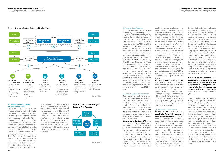#### **Figure: One-stop Service Ecology of Digital Trade**

## **Figure: RCEP Facilitates Digital Trade in Five Aspects**

Source: Deloitte



#### (1) Removal of tariff barriers

After RCEP takes effect, more than 90% of trade in goods in the region will finally enjoy zero-tariff treatment, mainly including the immediate elimination of most tariffs with the remainder being eliminated within 10 years. This makes it possible for the RCEP FTA to fulfill its commitment of liberalizing all trade in goods in a relatively short period<sup>3</sup>. It is foreseeable that the removal of tariff barriers will significantly reduce trade costs and product prices within the region, and bring about a huge trade creation effect. According to estimates by United Nations Conference on Trade and Development, "RCEP is expected to increase member states' exports by more than 10% by 2025"<sup>4</sup>. Cross-border e-commerce in most RCEP member states is still in a phase of rapid growth. The commitment to a "gradual shift to zero tariff" is expected to enhance the competitiveness of export commodities by reducing the cost of taxes and fees, thereby bringing benefits to cross-border e-commerce within the RCEP region.

#### (2) Establishing flexible rules of origin

Qualification around the origin of goods is the basis for preferential RCEP treatment, which ensures relatively free and flexible arrangements for the rules of origin. Enterprises can choose between regional value content or change in tariff classification, and all member states are identified as a whole, so that the place of origin value content of goods produced in different countries can be accumulated.

**Regional Value Content (RVC)** refers to that in case a party produces goods with non-originating materials, the goods can only be qualified as originating when they meet the requirement that the RVC is no less than 40%.

Closely linked to the RVC is the "cumulation rule", which is also the most unique aspect around the rules of origin in the RCEP. The so-called cumulation rule means that RCEP treats the originating materials of other parties

used in the production of the products as the originating materials of the party where the production takes place, and that the product's RVC can be accumulated in the region of the 15 member states. Exporters can enjoy preferential policies within the region as they will more easily meet the RVC40 ratio requirement or other material transformation requirements through the cumulation rule. The lowered regional preferential barriers allow multinational companies to be more flexible in the decision-making of industrial layout, thereby enabling the existing system around the division of labor on the industrial chain to be more refined. The reduction of production costs brought about by flexible rules of origin will not only facilitate trade within the RCEP region, but also promote deeper integration of regional supply chains and value chains.

### **Change in tariff classification**

**(CTC)** refers to that after one party processes the raw materials of other parties, goods and raw materials are categorized with different codes in the HS classification, including Change in Chapter (2 Digits), Change in Tariff Heading (4 Digits) and Change in Sub-headings (6 Digits). The CTC applies only to non-originating materials, and all non-originating materials are required to undergo the CTC.

## (3) Promoting e-commerce

**At present, no sound or mature set of rules for global e-commerce have been established.** On the one hand, with the increasingly obvious strategic competition in digital trade, many economies are pursuing differentiated digital trade policies, while developing countries are in a defensive position in digital trade policies and rules for cross-border data flow. For example, India, Indonesia and South Africa are opposed to global e-commerce negotiations and refuse to sign the Osaka Declaration on the Digital Economy, and India also advocates for localizing data storage. On the other hand,

#### **1.2.4 RCEP promotes greater regional cooperation**

On November 15 2020, ten ASEAN member states, as well as China, Japan, South Korea, Australia and New Zealand, signed the Regional Comprehensive Economic Partnership (RCEP), marking the official launch of a free trade area (FTA) with the largest population, economic and trade scale and development potential in the world. According to the agreement text, the chapters on "Trade in Goods", "Rules of Origin", "Customs Procedures and Trade Facilitation", "Electronic Commerce", "Small- and Medium-sized Enterprises" and "Economic and Technical Cooperation" indicate the direction for promoting regional digital trade. However, on July 1 2021, the EU VAT



the formulation of digital trade rules worldwide lags behind development practices. At the multilateral level, the WTO has not introduced special rules on the digital trade, and relevant rules take the form of scattered content in agreement texts and annexes under the frameworks of the WTO, such as the General Agreement on Trade in Services (GATS), the Information Technology Agreement (ITA), the Agreement on Trade-Related Aspects of Intellectual Property Rights (TRIP) and the Declaration on Global Electronic Commerce. Due to the lack of foreseeability in the development and reform of digital technology and the constrained efficiency of Doha Round negotiations, the above multilateral rules for digital trade are facing new challenges in terms of text design and operation5.

**It is the first time that the RCEP has included a dedicated chapter on e-commerce, which is the first comprehensive and high-level outcome of plurilateral e-commerce rules established in the Asia Pacific region.** There are mainly three highlights as below:

Firstly, provisions related to paperless trading, ensuring the validity of electronic authentication and signature, and temporary exemption from custom duties, will be conducive to creating a more convenient online business environment. For digital trade, the international mutual authentication of digital identity, a basic condition for the establishment of digital factor markets, promotes the cross-border flow of digital technology. Meanwhile, thanks to the above provisions, the transaction links can be further developed online. It is expected that more scenarios like online displays, online negotiations, electronic payments and electronic signing will emerge, which will further broaden the channels of foreign trade and help companies secure more foreign trade orders.

#### reform was formally implemented. The reform mainly focuses on removing the EU€22 VAT de minimis, unifying the registration threshold for the VAT payment of long-distance sales, expanding the application scope of "onestop" compliance mechanisms, and clarifying the VAT payment obligations of e-commerce platforms. Affected by such reform, trade activities in EU will be weakened and those in the Asia Pacific region will be further boosted in the future.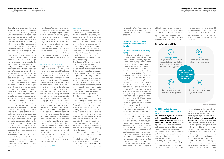I. Ecology of digital trade in the Asia Pacific region emerges

Secondly, provisions on online consumer protection, online personal information protection, regulation of unsolicited commercial electronic messages and cyber security protection are conducive to avoiding cyber hazards related to cross-border e-commerce. By introducing laws, RCEP is expected to achieve the coordinated protection of consumers' rights and interests across borders, while also creating a favorable environment for e-commerce. Compared with domestic e-commerce, how to protect online consumers' rights and interests is a particular pain point right now for the operation of cross-border e-commerce. The ruling power was formerly in the hands of overseas courts and arbitrators. Different interpretations of the provisions not only made it more difficult for consumers to safeguard their rights, but also affected the operational efficiency of cross-border e-commerce to a certain extent. For this reason, the provisions on consumers' rights and interests in the chapter of Electronic Commerce mainly aim to protect the security of consumers' information, make relief and recourse specific and transparent, and supervise cross-border e-commerce businesses. Thirdly, RCEP clearly supports the cross-border e-commerce operations, and so new formats of cross-border e-commerce such as independent websites are guaranteed by international rules. Specifically, in the case of "the realization of a legitimate public policy objective" and "the protection of essential security interests" without conflict, no party shall claim the right to monitor the computing facilities of a party involved as a condition for conducting business, nor prevent a party involved from transferring information across borders by electronic means to conduct business.

mutual trust of policies, mutual recognition of regulations and mutual communication among enterprises in the field of e-commerce, thereby greatly advancing the development of e-commerce in the region. In the future, the integration of advantages of cross-border e-commerce and traditional manufacturing in the RCEP FTA may become the key for enterprises to reduce costs and increase efficiency, and the mutual promotion between online and offline operations will support the long-term coordinated development of enterpris- $\alpha$ 

The aforementioned provisions will provide institutional guarantee for member states to strengthen e-commerce cooperation, facilitate the creation of a favorable environment for the development of e-commerce, and enhance

**Portrait of small and mediumsized cross-border e-commerce businesses**



#### **Background:**

A large number of SMEs embrace digitalization and the barriers to access to cross-border trade are increasingly lower



**Type:** Small retailers, small wholesalers, self-use purchasers



#### **Covered markets:**

Enterprises operate an average of 3.56 outlet

**Scale:** Small scale, typically with fewer than 100 employees



### **Figure: Portrait of mMNEs**

Date source: CBNData, Deloitte

#### (4) Enhancing trade facilitation

Compared with the Agreement on Trade Facilitation of the WTO and the relevant rules in the FTAs already signed by China, RCEP rules on customs procedures and trade facilitation cover more comprehensive content with a higher degree of facilitation. These rules will enable the use of digital technology to reduce customs clearance time and improve the efficiency of cross-border trade. RCEP simplifies customs clearance procedures with the adoption of a range of efficient administration measures to facilitate customs procedures, such as advance rulings, pre-arrival processing and the use of information technology and the release of goods by express and perishable goods, among others, within six hours after arrival, where possible. Such practices boost the development of new types of cross-border logistics such as express delivery, and promotes rapid customs clearance and increased trade in fruits, vegetables, meat, eggs, dairy and other fresh products. These measures will drastically enhance the facilitation of trade in goods within the region, provide efficient and convenient customs clearance services to enterprises of member countries, reduce trade costs, shorten logistics time and further promote the formation of a regional integrated market.

(5) Emphasis on SMEs and technical

#### cooperation

Levels of development among RCEP members vary significantly. In order to realize balanced development, RCEP specifically includes two chapters, Small- and Medium-sized Enterprises and Economic and Technical Cooperation. The two chapters enable the member states to strengthen support for SMEs and increase their levels of investment, while also building economic and technical cooperation through the FTA platform, so that SMEs and developing economies can better capitalize of RCEP's advantages.

The chapter of SMEs aims to build a broader exchange platform for cooperation among SMEs. By emphasizing the promotion of information sharing, SMEs are encouraged to take advantage of the FTA and economic cooperation projects under the Agreement in a more active manner, so as to integrate into the regional value stream and supply chain. In addition, the agreement specifically places emphasis on promoting the use of e-commerce by SMEs. SMEs, with great potential in economic growth, employment and innovation, are major drivers of digital trade.

The chapter on Economic and Technical Cooperation aims to narrow development gaps among the parties and achieve common development. Economic and technical cooperation gives more importance to capacity building and technical assistance that focus on trade in goods and services, investment, intellectual property, e-commerce, competition and SMEs. The demands of the least developed countries (such as Cambodia, Laos and Myanmar) will be first considered, which is conducive to the effective flow and utilization of digital technology within the region.

According to Deloitte's survey of nine Asia Pacific countries, cross-border e-commerce enterprises in this region are full of expectations after RCEP takes effect, especially in terms of simplifying customs clearance procedures and improving efficiency. They also expect

the reduction of tariff barriers and the lowering of barriers to entry for local businesses (refer to 4.9 of this report for details).

#### **1.3 SMEs are the main drivers behind the transformation of digital trade**

#### **1.3.1 Asia Pacific mMNEs are rising rapidly**

In traditional international trade, commodities, technologies, funds and other elements mainly flow among large businesses. However, digital technologies have resulted in a constant reduction of global trade barriers and barriers on the international division of labor, and global trade has presented the features of fragmentation and high frequency. Therefore, SMEs can extensively participate in global trade. With the help of cross-border e-commerce platforms, they can not only sell their products to broader markets, but also make cross-border purchases. With the help of digital platforms, entrepreneurs and small businesses have become mMNEs as they are engaged in cross-border e-commerce across global markets. They provide diversified "locally-made products" and light customization services for global buyers. Asia Pacific mMNEs are rising rapidly.

These businesses are typical small and micro enterprises, and many of them are even start-ups with fewer than 100 employees. Compared to conventional foreign trade businesses, they are more adept at using digital platforms. Even though they are new players, they can rapidly complete the complicated deals that only large businesses could handle in the past, including products selection, purchasing, sales, logistics, customs clearance, collection of payments, settlement of exchange deals and duty refunds. Meanwhile, they have operated an average of 3.56 overseas outlets, which means most of the companies serve three or even more overseas markets. This group

of businesses are mainly composed of small retailers, small wholesalers, and self-use purchasers. The Deloitte survey has also demonstrated the aforesaid conclusions that Asia Pacific e-commerce markets mainly consist of

small businesses with fewer than 100 employees (accounting for over 85%), and more than half of the businesses have an annual revenue of less than US\$1 million (refer to 4.1 of this report for details).



#### **1.3.2 SMEs and digital trade complement and reinforce each other**

# **The boom in digital trade would**

**not be possible without the active exploration of SMEs on e-commerce platforms by virtue of their flexibil**ity. The development decisions made by large businesses tend to have a wide range of implications and involve complex interests, while SMEs can quickly shift their business directions. Thanks to their flexible coping capacity, it is easy for SMEs to transform production lines and grasp the demand changes of short-term markets. In addition, SMEs are more motivated to provide products and services in vertical market

segments in view of their market positioning, so that digital trade can continuously align with market demands and maintain positive growth momentum. **Digital trade mitigates some of the disadvantages of SMEs in terms of** 

**cost and risk resistance.** In terms of cost, the digital marketing of platforms is characterized by strong pertinence and widespread range, so the customer acquisition cost of SMEs is reduced; mature cross-border e-commerce platforms offer one-stop import and export services and other technical support to businesses, simplifying the restrictions of intermediate cost to SMEs. Scenario finance also provides flexible and efficient financial solutions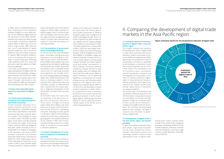II. Comparing the development of digital trade markets in the Asia Pacific region

I. Ecology of digital trade in the Asia Pacific region emerges

#### **2.1 Evaluation system for the development of digital trade in the Asia Pacific region**

This chapter analyzes and compares the development levels of digital trade in major Asian economies from two dimensions, namely cross-border e-commerce (60%) and digitalization (40%). Specifically, the development level of cross-border e-commerce is quantified by five indicators: e-commerce market size, compound growth rate of e-commerce market size, penetration rate of e-commerce users, consumption scale of cross-border e-commerce, and the proportion of cross-border e-commerce in overall e-commerce. Digitalization is measured by four indicators: internet penetration rate, network rate, revenue from network infrastructure, and per capita volume of transaction on e-payment platform.

The primary data of all indicators are converted to fractional values from 0 to 100 first before comparing the scores of cross-border e-commerce and digitalization. Finally, the combined scores of each country will be obtained according to the weight of the two dimensions. The countries will be grouped based on their rankings. The higher a country's score, the better its performance in digital trade.

#### **2.2 Development of digital trade in the Asia Pacific region and market grouping**

In light of the above-mentioned evaluation system, major Asian economies can be mainly divided into mature markets, developing markets and early-stage markets in terms of their development level of digital trade.

**Figure: Evaluation System for the Development Indicators of Digital Trade**



Data source: Data Reportal, Speedtest, Statista, Deloitte

Revenue from network rastructu **10%**

> Per <sub>capita</sub> volume of

via

On the one hand, the understanding of green consumption among consumers continues to rise. According to a Deloitte' survey in 2021, 37% of millennials and 40% of Gen Z believe that more people will be committed to addressing environmental and climate issues after the epidemic and it is advisable to take actions such as improving recycling, encouraging the use of public transport and changing eating and shopping habits. Both millennials and Gen Z also insist on choosing a pattern of consumption that matches their value, and more than a quarter of millennials and Gen Z express that the impact (positive or negative) of businesses on the environment will affect their purchase decisions.<sup>6</sup>

to SMEs, which can help businesses cut down financing cost and respond to business changes in a more rapid manner. On risk resistance, digital trade has the attributes of multi-sided markets, therefore purchases and sales through cross-border e-ecommerce platforms enable SMEs to effectively avoid the risks of single market. SMEs also face less risk of trade default on digital payment platforms, and e-commerce platforms have formulated measures to support SMEs during the epidemic, such as exempting the charges for delay in warehousing and extending order fulfillment time. As a result, the short-term cash flow dilemma of SMEs has been alleviated.

n the wake of the epidemic, the ecological development of digital trade has marched into the speedway, creating a sound business environment for SMEs. After entering the global value chain system through cross-border e-commerce platforms, SMEs are expected to find and develop more "blue oceans".

#### **1.4 Green and sustainable development is a key theme of digital trade**

#### **1.4.1 Green and sustainable development is an important goal of Asia Pacific economies**

"Carbon neutrality" represents an important phased requirement in the 2030 Agenda for Sustainable Development of the United Nations. Asia Pacific economies have clear emission reduction targets: China pledges to strive to achieve carbon neutrality by 2060, Japan, South Korea, and New Zealand put forward the target of becoming carbon neutral by 2050, and Singapore also takes carbon neutrality as the ultimate goal of its long-term strategies. In the meantime, two thirds of RCEP members submitted new Intended Nationally Determined Contributions (INDCs) in 2020. Additionally, due to closer international cooperation in the context of RCEP, some member states, including Indonesia, Thailand and Malaysia, have gained more international support to achieve higher emission reduction targets. Hence, the flow of relevant technologies and resources within the region has been strengthened, and various countries have enhanced their capacity to cope with the pressure of reducing emissions.

#### **1.4.2 Consumption of green products is increasingly booming**

On the other hand, the income level of consumers in the Asia Pacific region has continuously improved in recent years. Stronger purchasing power makes them willing to pay more premiums for green and environmentally-friendly products or packaging, and green shopping has also gained in popularity. Against that backdrop, enterprises have keenly captured the growing green consumption preference on the markets to offer more environmentally-friendly products to a wider range of consumers via cross-border e-commerce platforms.

#### **1.4.3 Green development of e-commerce companies is constantly appreciated**

The e-commerce industry is actively exploring the formation of a resource-saving and environmentally-friendly development model. Take China, the largest

market in the world, as an example. At the policy level, the Chinese government guides enterprises to advance the green supply chain management of express packaging through direct collection of goods from place of origin, direct delivery with the original package, direct delivery of accumulated orders, recyclable applications, among other models. China also encourages enterprises to make use of cloud computing, big data, artificial intelligence and other technologies to strengthen supply and demand matching, increase stock turnover, promote logistics sharing among multiple channels, and reduce logistics costs and energy consumption. In China, leading e-commerce platform enterprises actively attempt to build green supply chains. For example, Alibaba Group has made various efforts to reduce emissions, such as optimizing algorithms, increasing the use of clean energy sources, and reducing carbon emissions in the logistics link. In 2021, Alibaba has proposed "green GMV" for the first time, and disclosed its carbon emission reductions of online orders<sup>7</sup>. It is expected that more e-commerce enterprises will actively improve the greening of products in terms of packaging, logistics, warehousing, and other aspects in a bid to reduce the environmental impact of the full life cycle of online shopping behaviors.

## II. Comparing the development of digital trade markets in the Asia Pacific region

population

Among them, mature markets mainly include China, South Korea, Singapore and Japan; developing markets include Thailand, Malaysia, Indonesia, Vietnam and the Philippines; and early-stage markets include Myanmar, Cambodia, Laos and Brunei.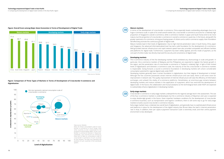II. Comparing the development of digital trade markets in the Asia Pacific region

**Mature markets**  $\sqrt{3}$ 

 $\sqrt{3}$ 

 $\sqrt{3}$ 

II. Comparing the development of digital trade markets in the Asia Pacific region

In terms of the development of cross-border e-commerce, China especially boasts outstanding advantages due to its huge e-commerce scale. In spite of its small overall market size, cross-border e-commerce accounts for a relatively high proportion of Singapore's overall e-commerce, while e-commerce markets in Japan and South Korea tend to be more mature, but the proportion of cross-border e-commerce in overall e-commerce is quite low. In the future, along with the greater openness of e-commerce, strong purchasing power of citizens and a solid e-commerce supply chain foundation will effectively promote the continuous growth of digital trade. Mature markets lead in their levels of digitalization. Due to high internet penetration rates in South Korea, China, Japan and Singapore, the advanced informationalized level has laid a solid foundation for the development of e-commerce. Well-grounded internet infrastructure and rapid network speed have also provided unimpeded and efficient facilities and platforms for digital trade. Furthermore, e-payment has been widely applied, and this mode of payment, as the core part of online trade, has directly improved the security and convenience of digital trade.



Data source: Deloitte Note: As China's consumption scale of crossborder e-commerce is much larger than other countries, its dot is downsized for the purpose of overall display effect; as the crossborder e-commerce markets in Myanmar, Cambodia, Laos and Brunei are immature, there are no data on consumption scale of cross-border e-commerce of such countries for the moment. The dots only represent the positions of such countries in the coordinate system

The e-commerce industry of the five developing markets hasn't exhibited any shortcomings in scale and growth. In particular, the e-commerce markets of Malaysia and the Philippines are expected to register the fastest growth in the region, and the penetration rate of cross-border e-commerce in Thailand is relatively high. In light of their limited levels of digitalization and domestic e-commerce scale, the maturity of the five cross-border e-commerce markets is respectable. Going forward, a sound e-commerce foundation in developing markets will unlock considerable consumption potential for regional digital trade under RCEP. Developing markets generally have a certain foundation in digitalization, but their degree of development is limited. Although the five countries possessed certain internet infrastructure and user base, there is still some room for improvement in network rate. The quality improvement of internet infrastructure will raise the efficiency of information exchanges, and unleash the vitality of e-commerce platforms. Nonetheless, an enormous gap remains between developing markets and mature markets in the application of e-payment, which has restricted the development of digital trade. In the future, the collaboration and mutual assistance at the technological level under RCEP are expected to substantially enhance digitalization in developing markets.

#### **Early-stage markets**

Cross-border e-commerce in early-stage markets underperforms the regional average level in the assessment. The size of the four e-commerce markets is underdeveloped, but the e-commerce industry of Myanmar and Laos is expected to enjoy double-digit growth in the future. Given imperfect hardware conditions for the development of cross-border e-commerce business, such as transportation and logistics conditions, there is still some way to go for early-stage markets to build a sound cross-border e-commerce industry. Early-stage markets have a relatively low overall level of digitalization, and generally have no sophisticated infrastructure and platforms in place for the development of the digital industry (but Brunei takes the lead in internet penetration rate in Asia). In addition, their per capita e-payment transaction scale is extremely small, and their online payment environment is less developed.

#### **Figure: Comparison of Three Types of Markets in Terms of Development of Cross-border E-commerce and Digitalization**



#### **Figure: Overall Score among Major Asian Economies in Terms of Development of Digital Trade**

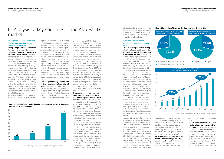

Data source: Ministry of Trade and Industry (MTI) of Singapore<sup>8</sup>, Statista<sup>9</sup>, Deloitte

**Figure: Annual GMV and Predication of the E-commerce Market in Singapore from 2020 to 2025 (US\$/Billion)**

#### **3.1 Singapore, as an international financial and maritime center, connects Southeast Asia**

**Being a highly internationalized financial and maritime center renders Singapore important in**  Asia and in the world. Despite its small geographical area, Singapore still serves as Southeast Asia's financial center, international intermediary trade station and aviation hub. Singapore is not only the largest foreign exchange market in the Asia Pacific region, but also the third largest in the world. With more than 200 banks, it is the fourth largest international financial center after New York, London and the Hong Kong SAR. In 2020, Singapore recorded US\$58,900 in per capita GDP, ranking sixth in the world and first in Asia. Singapore's powerful economy should not be neglected, as it is home to the Asia Pacific headquarters of many Fortune Global 500 companies.

The logistics industry of Singapore has always performed strongly. Singapore's

#### **3.2 China's platform-based development drives cross-border trade**

**China's developed levels of digitalization lays a solid foundation for the high-speed development**  of **e-commerce trade.** As the world's second largest digital economy just behind the US, China has seen digital economy turning into an important driver of economic growth. In 2020, the digital economy in China grew more than three times as fast as its GDP. In the same year, the General Administration of Customs of China issued the Announcement on Expanding the Scope of the Pilot Program of Supervision over Business-to-Business Export in Cross-border E-commerce, further promoting the large-scale development of B2B cross-border e-commerce, and effectively filling the demand gap of overseas markets. Meanwhile, given the steady increase of investments in cloud platforms and the ever-accelerating construction of digital platform infrastructure in 2016-2021, enterprises have strengthened penetration in cross-border service ecosystem, and built digital trade platforms based on ecological matching of supply and demand resources, in an effort to support the ever-expanding cross-border B2B market.

Meanwhile, China leads the world in the development of 5G, and the high-quality network construction builds an efficient and convenient communication bridge for e-commerce users. Moreover, China's e-payment system has seen rapid development. In 2020, China registered US\$424.59 trillion and US\$2,086 in the amount of e-payment and per capita volume of transactions via e-payments respectively<sup>10</sup>, ranking second among RCEP member states after South Korea. As the core part of digital trade, e-payments has a pro-

found impact on the overall security and convenience of digital trade. In China, cost-effective infrastructure, combined with favourable national policies and increasingly optimized trade regulatory environment, have paved the way for the development of China's cross-border e-commerce trade<sup>11</sup>. **Cross-border e-commerce has entered a mature stage with huge development potential.** The market size of cross-border e-commerce in China has reached US\$1,542.5 billion<sup>12</sup>,

logistics performance index (LPI) among the global top ten and the country has convenient services in highway, railway, maritime transport, and air transport. As an island state covering a national territorial area of 641 square kilometers, Singapore has become the largest transshipment center in the world by establishing a booming marine ecosystem. 20 of the world's top 25 large logistics companies have set up their regional/global headquarters in Singapore, and Singapore also boasts worldclass logistics infrastructure with global connectivity, thus attracting a large number of manufacturers and unicorn companies to set up operation bases there.

**The Singaporean government actively promotes global digital trade.** Singapore established rules on digital trade and economic cooperation on digital trade with multiple countries with the release of the Digital Economy Agreement (DEA) as it seeks to establish a digital trade framework in Asia and

even the whole world. The digital trade cooperation framework built on the DEA enables Singaporean companies to connect with their overseas partners in digital trade more seamlessly, thus ultimately cutting down operational cost, increasing business processing efficiency, and making it easier for them to get access to overseas markets. At the same time, Singapore gives top priority to six aspects in the development of the DEA, namely artificial intelligence, Cross-Border Privacy Rules (CBPRs) of APEC, data innovation, Data Protection Trustmark (DPTM) certification, national electronic invoicing network, and digital transformation of SMEs, as a way to actively push forward the transformation of domestic companies. Currently, Singapore has signed relevant digital trade deals with many countries, including Chile, New Zealand, Australia, South Korea and the UK.

**Singapore serves as the hub of headquarters for cross-border e-commerce platforms in Southeast Asia.** Thanks to the forward-looking planning and deployment by the government in digital economy ecology, Singapore has evolved into a highly developed internet market. Blessed with numerous advantages, Singapore is a popular destination for the e-commerce industry. Lots of unicorn companies in Southeast Asia have set up their headquarters in Singapore, including the cross-border platforms Shopee and Lazada, two giants in the e-commerce industry. In addition, the integrated e-commerce platforms headquartered in Singapore also include: Qoo10 (a local brand), Amazon Singapore, Ezbuy and Carousell; the vertical e-commerce platforms include: Zalora (fashion), Sephora Singapore (beauty makeup), HipVan (home decoration), Redmart (fresh food), Shopback (group purchase) and Pupsik (infant and mother).

## III. Analysis of key countries in the Asia Pacific market

It is predicted that the e-commerce market size of Singapore will double in 2025 compared with 2020, with its gross merchandise volume (GMV) amounting to US\$8 billion.

### **Figure: Market Size of Cross-border E-commerce in China in 2020**



0

 $\overline{2}$ 



Source: General Administration of Customs of China, Statista, Deloitte

surpassing all other RCEP member states.

**• B2B e-commerce for cross-border trade takes a dominant position in China.** In 2020, the B2B market for cross-border e-commerce in China accounted for about 72.8% of the entire cross-border e-commerce market. Specifically, cross-border imports occupied 28.9% and cross-border exports occupied about 71.1%, with the US, Japan and Vietnam as its top three export markets. It is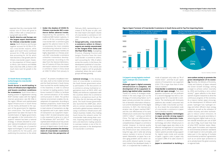expected that the cross-border B2B market size of China will grow to US\$2.2 trillion with a compound annual growth rate of 25%.

**• North America and Europe are the largest export destinations for Chinese cross-border e-commerce.** North America and Europe together account for 62.5% of China's cross-border exports, while Japan and South Korea combined account for 27.9%, and Southeast Asia accounting for 34.1%, which have become a new growth pole for China's cross-border export. However, the proportion of China's export to Africa, Latin America and Middle East is less than 20%, so there is still much more room for growth in the future.

#### **Figure: Export Turnover of Cross-border E-commerce in South Korea and its Top Five Importing States**

Source: Statista, Deloitte

#### **3.3 South Korea strategically turbocharges its cross-border e-commerce**

**South Korea is world-leading in terms of infrastructure digitization and boasts excellent conditions for e-commerce.** South Korea takes a leading position in digitalization among RCEP member states with the highest internet penetration rate (96.16%) in the region. Efficient and sophisticated digital infrastructure in South Korea can be mainly attributed to the support of the government for digitalization construction. The South Korean government has taken the lead in the transformation of digital government, and upgrades in the construction of a superior network has been a national strategy. It remains devoted to a tenyear national broadband construction from 1995, making use of powerful digital technologies to build e-government platforms for the public, and publicizing the practices to the whole

#### **3.4 Japan's strong logistics technologies underpin the cross-border trade**

country $^{13}$ . At present, broadband internet rates, both at the mobile terminal and the fixed terminal in South Korea, have touched the world's leading level. In the meantime, in order to continue to maintain its leading position, South Korea invested 9.5 billion to facilitate the commercialization of 5G mobile communication in 2020. The perfect internet environment enables the development of e-payments. According to Statista's projections, South Korea will record US\$143.9 billion and US\$2,784 in total volume of transactions via digital payments and in per capita volume of transactions via e-payment respectively in 2021. Its total transaction value is also expected to grow at a rate of 8.17% between 2021 and 202514. The sophisticated infrastructure has provided excellent conditions for the development of digital trade in South Korea. **South Korea promotes the development of cross-border e-commerce industry from the perspective of** 

**Although Japan's digital economy infrastructure is complete, the development of its e-payment industry lags behind other countries.**  Thanks to a series of strategies established in the early stage such as the Strategy of Constructing Nation via IT, Japan actively promotes the construction of domestic information infrastructure and the development of the digital economy. In 2021, the internet penetration rate of Japan reached 93%<sup>15</sup>, and the cost effectiveness of its early infrastructure construction has reached US\$10.1 billion<sup>16</sup>, ranking just behind China. The high cost effectiveness of its network construction improves the competitiveness of Japan's e-commerce market. However, its internet quality has gradually become backward as the infrastructure was constructed a long time ago, and it ranks last among mature markets in terms of internet speed. Meanwhile, as Japan has a severe aging problem and its senior citizens prefer physical capital, its e-payment industry has developed slowly. In 2021, it is expected that e-wallets as a

February 2020, representing an increase of 36.7% year on year, and the total import and export volume of cross-border e-commerce in Q1 2020 increased by 34.1% year on **vear** 

**national strategy.** In the develop-

ment of cross-border e-commerce, the South Korean government actively participates in the discussions on e-commerce among multilateral organizations (such as OECD, APEC and ASEM), and reinforces cooperation with the countries where the e-commerce industry is prosperous (such as the US, China, the UK, Germany and Singapore). The South Korean government also launched the eAMP plan, which aims to connect overseas businesses and build a global business network by using e-commerce infrastructure and mature business models, thus making South Korea the network center for cross-border trade among Asian countries. Exporting electronic trading systems and electronic trading solutions to overseas markets is one of the important outcomes in the development of cross-border e-commerce.



mode of payment only make up 7% of market share<sup>17</sup>, and that its per capita volume of transactions via e-payment (US\$1,773) is lower than that of other mature markets<sup>18</sup> **Cross-border e-commerce in Japan is still not open enough.** That most Japanese consumers are not proficient in a second language has led to a language barrier for cross-border e-commerce. The interfacing with third-party platforms also renders consumers less willing to make cross-border purchases. As a result, the consumption scale of cross-border e-commerce in Japan fails to develop smoothly. **Cutting-edge logistics technologies** 

**in Japan provide strong support for cross-border electronic trade.**  In addition to advanced information technology and other infrastructure in the early stages, Japan also relies on its effective management of cross-border logistics, and its efficient logistics information systems provide strong support for digital trade inside and outside of Japan. Logistics costs in Japan only occupied 5.38% of its sales volume in 202019.

**Japan is committed to building a** 

**zero-carbon society to promote the green development of its economy.** Recently, the Ministry of Economy, Trade and Industry of Japan released the Green Growth Strategy, setting a target to achieve carbon neutrality by 2050 and building a zero-carbon society<sup>20</sup>. Japan adheres to the development of green industries to drive the continuous progress of the economy. As a mature market, Japan encourages the development of offshore wind power, hydrogen fuel, hydrogen energy and other efficient clean energy industries, as well as the utilization of carbon recovery and other technologies to reduce carbon emissions. At present, Japan has great ascendancy in advancing green digital trade as its carbon dioxide emissions per unit of GDP are only 0.18kg, much lower than that of other RCEP member states. Meanwhile, Japan formulates and responds to environmental protection standards in trade based on strict principles, and takes part in the signing of multiple environmental protection agreements such as on ozone layer protection so as to actively boost the green economy in regional trade.



**• Under the shadow of COVID-19, Chinese cross-border B2C e-commerce defies adverse trends.**  Impacted by the pandemic, the traditional B2B market is gloomy. In order to fill the consumption gap, cross-border B2C e-commerce goes against this adverse trend. As China possesses the most complete manufacturing industrial chains in the world and overseas markets are highly dependent on Chinese products, B2C cross-border e-commerce unleashes tremendous development potential. According to the data from the General Administration of Customs of China, the import and export volume of cross-border e-commerce retail in China stood at US\$2.72 billion from January to

**• Geographically, cross-border e-commerce sellers in China's exports are mainly concentrated in the Yangtze River Delta and the Pearl River Delta.** Guangdong Province, Zhejiang Province and Jiangsu Province have the most cross-border e-commerce sellers, each accounting for 10% of sellers across the country. In the future, the development potential of cross-border e-commerce in the central and western regions will be gradually unleashed, where the size of seller groups will keep growing.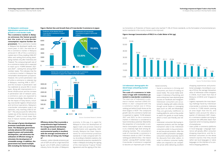

#### **Figure: Market Size and Growth Rate of Cross-border E-commerce in Japan**



#### **3.5 Malaysia's continuous digitalization penetration drives growth in cross-border trade**

**The e-commerce market in Malaysia witnesses the fastest growth but the scale of cross-border consumption requires further improvement.** The e-commerce market in Malaysia has developed rapidly over recent years. In 2021, the total size of the e-commerce market in Malaysia achieved 61.4% of the e-commerce market size in China, totalling US\$6.297 billion and ranking third among developing markets only after Indonesia and Thailand. The compound growth rate of its e-commerce market size is expected to reach up to 14.84% between 2021 and  $2025^{21}$ , ranking first among RCEP member states. This indicates that the e-commerce market in Malaysia has remarkable development prospects. However, the current penetration rate of online e-commerce is relatively low in Malaysia, reaching 44% in  $2021^{22}$ , and the increase in penetration rate has stabilized at around 4% in recent years. Along with improvements to internet infrastructure and the increase in penetration rate of network users, e-commerce users are expected to increase accordingly. Nevertheless, under the impact of many factors, including cross-border logistics infrastructure and technical operations, Malaysia's cross-border consumption scale is not optimistic, only reaching US\$3.52 billion<sup>23</sup>. This only accounts for 42% of the market size of the internet economy in Malaysia $^{24}$ , which is much lower than that of mature markets among RCEP members.

**The concept of green development promotes sustainable development. The Malaysian government actively advances ESG concepts, supports green and sustainable development, and advocates the utilization of efficient energy to stimulate the development of renewable energy. In addition, the government has issued multiple bills including the National Energy** 



**Efficiency Action Plan to provide a comprehensive legal framework for energy demand and development25. As a result, Malaysia's environmental quality is excellent with the average concentration of PM2.5 in the air being only 16.04μg/ m3 .** 

However, carbon dioxide emissions per unit of GDP are still at a high level (0.63 kg per unit of GDP), where traditional industry forms the pillar of Malaysia's Source: Grandview Research, Deloitte

economy. In this way, it is urgent for Malaysia to drive the development of digital trade and promote industrial transformation and upgrading. Additionally, Malaysia has lower requirements for environmental protection standards in trade compared with China. According to Deloitte's statistics, the environmental protection standards for trade in Malaysia (including the signing of the International Tropical Timber Agreement and the signing of the Vien-

#### **Figure: Average Concentration of PM2.5 in a Cubic Meter of Air (μg)**

#### **3.6 Indonesia's demographic dividend keeps unleashing market potential**

### **The scale of e-commerce in Indonesia is huge with tremendous potential in cross-border e-commerce.**  The total size of Indonesia's e-com-

merce market reached US\$43.351 billion in 2021 compared with the e-commerce market size in China, ranking just behind South Korea as the third largest in RCEP. The compound growth rate of e-commerce market size is expected to register 10.2% between 2021 and 2025, so the e-commerce market in Indonesia is considered to have tremendous potential. Meanwhile, the proportion of cross-border e-commerce consumption scale in Indonesia is at a relatively high level among developing markets. The consumption scale of cross-border e-commerce in Indonesia stands at US\$17.34 billion, ranking just behind China—the mature market—among RCEP member states. Cross-border e-commerce is expected to become an important part of Indo-



**Distribution in Japan from 2020 to 2030 (US\$ million)**

na Convention on Protection of Ozone Layer) only reached 71.4% of China's standards, so the formulation of environmental protection standards in the country remains to be improved.

nesia's economy.

• Social e-commerce is thriving and consumers are fond of trading on social media. The social media landscape in Indonesia is flourishing, and some enterprises have attained great success on Facebook and Instagram. Indonesian consumers are accustomed to dealing with sellers directly though social media or messaging apps (such as LINE and WhatsApp). They are generally indifferent to trading platforms, and so they prefer to search for goods on social media, which is more user-friendly and reliable.

• Indonesian consumers like buying inexpensive products and the average transaction value is low. Indonesian consumers prefer to buy promotional and low-priced products. After the end of a seller's promotion campaign, consumers would proactively search for discounts from other sellers. In order to enhance consumer loyalty, sellers are required to set competitive prices while delivering excellent

shopping experiences and promotional campaigns. According to a survey of iPrice, the average transaction value of Indonesian online shoppers is US\$36, much lower than that of Malaysia (US\$54) and Singapore (US\$91).

- Logistics represents the most daunting challenge faced by Indonesian cross-border e-commerce. Indonesia is home to 17,000 islands covering an area larger than the EU, and logistics costs account for about a quarter of Indonesia's GDP. However, e-commerce retailers are trying to surmount the difficulties faster than expected amid increasing adoption of smartphones.
- Users prefer e-commerce platforms in local language. Language experience will greatly affect consumer shopping experience, and the Indonesian consumers on the whole network express that they would rather see local languages or native languages on the interface of e-commerce shopping platforms.

Source: The World Bank, Deloitte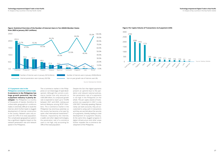III. Analysis of key countries in the Asia Pacific market

III. Analysis of key countries in the Asia Pacific market

### **Figure: Statistical Overview of the Number of Internet Users in Ten ASEAN Member States from 2020 to January 2021 (millions)**

**Figure: Per Capita Volume of Transactions via E-payment (US\$)**

2784 3000

Source: Datareportal, Deloitte

Source: Statista, Deloitte

#### **3.7 E-payment rate in the**

**Philippines constrains online trade E-commerce in the Philippines has huge growth potential, but the e-payment industry is poorly developed.** The Philippines is a country of thousands of islands, therefore its unfavorable geographical conditions makes it extremely difficult to build the internet, which further leads to sluggish development of internet construction in the country. Network users only account for 67% of its total population. The complicated geographical pattern has a significant negative impact on the network penetration rate and network speed in the Philippines.





The e-commerce market in the Philippines is in an initial stage of rapid development. Although the current e-commerce market size only amounts to US\$5.089 billion, its compound growth rate is expected to reach up to 14.64% between 2021 and 2025, ranking just behind Malaysia among RCEP members. The e-commerce market in the Philippines has enormous potential, so the country has become a hot spot for quite a few international investments<sup>26</sup>. However, impacted by the internet, e-wallet and other digital technologies, the penetration rate of e-commerce users is not high, only accounting for 39% of the total population.

Despite the fact that digital payments present an uptrend due to the pandemic and relevant national policies, the penetration rate of e-payments is not high in the Philippines on the whole. The per capita volume of transactions via e-payment in 2021 is only US\$13927. Generally speaking, Filipinos rarely use bank accounts, they are accustomed to using cash in transactions and they are worried about the security of e-payments, thereby leading to slow development of e-payment industry. At the same time, sluggish progress in digital infrastructure and other areas further impedes the e-commerce development of the Philippines.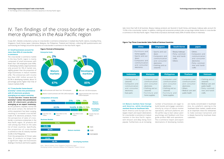Note: Mature markets: China, Singapore, South Korea, Japan Developing markets: Indonesia, Malaysia, the Philippines, Thailand, Vietnam

#### **4.1 Small businesses account for more than 85% of cross-border e-commerce**

The cross-border e-commerce market in the Asia Pacific region is mainly composed of small businesses with fewer than 100 employees (over 85%). In developing markets, large businesses only account for 5% of market size, slightly greater than the proportion of large businesses in mature markets (2%). The enterprises with income less than US\$1 million account for 62.5% in developing markets, about 10 percentage points higher than that of mature markets (52%).

#### **4.2 "Cross-border home-bound economy" comes into prominence with 3C electronic products emerging as an export mainstay**

**" C r o s s - b o r d e r h o m e - b o u n d economy" comes into prominence**  with 3C electronic products **emerging as an export mainstay.**  As the pandemic impedes normal life and social contact, the demand for online equipment has been surging, resulting in increased cross-border trade of 3C electronic products. From the perspective of sales of crossborder e-commerce enterprises in the Asia Pacific region, 3C products still rank among top three on the sales list of most countries. Specifically, the proportion of cross-border e-commerce in the 3C industry reached 52.6% in the Philippines.



From the perspective of China's sales data, 3C products no longer have a significant edge and businesses dealings in furniture and home supplies

- 
- Beauty makeups
- Petty commodities and handicrafts
- Others
- Computers and communication and consumer

In July 2021, Deloitte conducted a survey on cross-border e-commerce enterprises in multiple Asia Pacific nations, including China, Singapore, South Korea, Japan, Indonesia, Malaysia, the Philippines, Thailand and Vietnam, collecting 600 questionnaires and summarizing ten findings around the dynamics of cross-border e-commerce in the Asia Pacific region.



## IV. Ten findings of the cross-border e-commerce dynamics in the Asia Pacific region

#### **Figure: Top Three Cross-border Sales Fields of Various Countries**

|                                                                                                                                        | <b>China</b>                                                                                              | <b>Singapore</b>                                                                                                                 |                          |                                                                                                                                  | <b>South Korea</b>                       |                                                                                                                                    | <b>Japan</b>                                                                                                   |                |
|----------------------------------------------------------------------------------------------------------------------------------------|-----------------------------------------------------------------------------------------------------------|----------------------------------------------------------------------------------------------------------------------------------|--------------------------|----------------------------------------------------------------------------------------------------------------------------------|------------------------------------------|------------------------------------------------------------------------------------------------------------------------------------|----------------------------------------------------------------------------------------------------------------|----------------|
| doors<br>electronics                                                                                                                   | · Furniture and<br>home supplies<br>· Sports and out-<br>· Computers and<br>communication<br>and consumer | · Sports and out-<br>doors<br>. Computers and<br>communication<br>and consumer<br>electronics<br>. Clothing and ac-<br>cessories |                          | · Beauty makeups<br>· Petty commod-<br>ities and handi-<br>crafts<br>· Others                                                    |                                          | $\cdot$ Others<br>. Computers and<br>communication<br>and consumer<br>electronics<br>· Petty commod-<br>ities and handi-<br>crafts |                                                                                                                |                |
| <b>Indonesia</b><br>· Clothing and ac-<br>cessories<br>. Computers and<br>communication<br>and consumer<br>electronics<br>• Auto parts | electronics<br>cessories<br>home supplies                                                                 | <b>Malaysia</b><br>. Computers and<br>communication<br>and consumer<br>. Clothing and ac-<br>· Furniture and                     | electronics<br>cessories | <b>Philippines</b><br>. Computers and<br>communication<br>and consumer<br>. Clothing and ac-<br>· Furniture and<br>home supplies | electronics<br>• Others<br>public health | <b>Thailand</b><br>. Computers and<br>communication<br>and consumer<br>• Medical care and                                          | $\cdot$ Clothing and<br>cessories<br>· Medical care<br>public health<br>· Petty comm<br>ities and ha<br>crafts | <b>Vietnam</b> |

- Computers and communication and consumer electronics
- Others
- Medical care and public health

- Clothing and accessories
- Medical care and public health
- Petty commodities and handicrafts

#### **South Korea Japan**

#### **4.3 Mature markets favor Europe and America, while developing markets focus on Southeast Asia**

North America and Europe are the largest import and export destinations for cross-border e-commerce in mature markets in the Asia Pacific region, with Amazon and eBay being more popular. Furthermore, as an increasing

number of businesses are eager to build brands and engage customers directly by virtue of mature market operations, self-built platforms are the perfect way to learn about users' psychology and feedback and thus guide product R&D and operations. The e-commerce import and export destinations of developing markets

are mainly concentrated in Southeast Asia. As a platform catering to the Southeast Asian market, Lazada serves as an important choice for enterprises to make overseas transactions and is deeply favored by Southeast Asian customers.

take more than half of all business. Beauty makeup products are favored in South Korea, and beauty makeup sales account for 19.3% in the cross-border market. In addition, clothing and accessories products also occupy large market shares in cross-border e-commerce in the Asia Pacific region. These kinds of products dominate nearly 50% of market shares in Indonesia.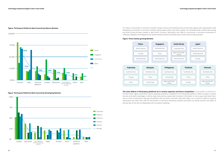#### **Figure: Third-party Platforms Most Favored by Mature Markets**

#### **Figure: Third-party Platforms Most Favored by Developing Markets**





#### **Figure: Three Fastest-growing Markets**

For mature cross-border e-commerce markets, Europe, America and Southeast Asia are the sales regions with rapid growth, while developing cross-border e-commerce markets mainly expand sales in the Asian market. The Southeast Asian market ranks among top three among all sales markets in Asia Pacific countries. Specifically, over 80% of cross-border e-commerce businesses in Indonesia, Malaysia, the Philippines and Vietnam believe that the Southeast Asian market has the fastest growth.



**The main defects of third-party platforms lie in various expenses and fierce competition.** Cross-border e-commerce in the Asia Pacific region mainly faces various expenses and fierce competition from third-party platforms. When a product or brand has less prominent advantages, it will be easily obscured by a great deal of product information or has to pay costly booth fees. Due to a lack of information sharing, the platforms will not share consumers' data with sellers, so it is hard for sellers to improve repurchase rate. More than 25% of cross-border e-commerce enterprises express that sellers can barely enhance the depth of services due to the lack of independent and innovative marketing.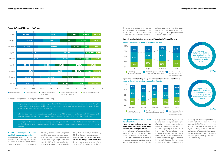#### **Figure: Defects of Third-party Platforms**

In that case, independent websites present noticeable advantages.

- Shaping corporate brands and pinpointing customer traffic: sellers can continuously enhance brand strength through independent websites, and harvest new resources while maintaining regular customers with a view to repeat marketing and cross-selling in the future.
- Achieving data security and value increase: sellers can have 100% of data in their hands, control the security of data, and conduct the secondary development of data so as to constantly dig out the value of such data.
- Avoiding the restrictions of rules and reducing cost: self-operated independent websites provide high autonomy and flexibility, and have cost advantages with lower transaction commissions or annual fees than third-party platforms.



#### **4.4 70% of enterprises hope to establish independent websites**

Independent websites have become a key channel for enterprises to break the business ceiling or expand into new markets, as it attracts the attention of

increasing export sellers. Compared with third-party platforms, cross-border e-commerce with independent website has the advantages of precision and flexibility. 70% of the surveyed enterprises plan to set up independent websites, which are already in place among 33.4% of the surveyed enterprises. **Mature markets are more likely to set up independent websites.**  Cross-border e-commerce has entered the stage of three-dimensional channel

#### **Figure: Intention to Set up Independent Websites in Mature Markets**

independent websites

independent websites

#### **4.5 Payment and sales are the most digitalized links**

#### **Figure: Intention to Set up Independent Websites in Developing Markets Survey on Intentions to Set up Independent Websites**

**Payment and sales are the two major links with the highest penetration rate of digitalization.** The penetration rate of payment digitalization is 55%, and 53% for sales digitalization. Mature markets vigorously adopt digital technologies in terms of payments, sales and logistics, among which the digitalization rate of all links





**Survey on Intentions to Set up Independent Websites**



in Singapore is much higher than the average value. The digitalization degree of production and transaction is relatively high in developing markets. The least digitized part in all links lies in production. The digitalization of production in developing markets is slightly higher than that in mature markets with Vietnam and the Philippines performing very well. Cross-border e-commerce in developing markets performs better

in trading, and Indonesia performs noticeably well with the penetration rate reaching 52.5%. The penetration rate of sales digitization in Malaysia is the highest, standing at 65.7%. The penetration rate of payment digitalization and logistics digitalization in Singapore are the highest, standing at 85.2% and 63%, respectively.

deployment. According to the survey results, among cross-border e-commerce sellers in mature markets, 75% of cross-border e-commerce enterpris-

es have launched or intend to launch independent websites, which is evidently higher than the proportion (69%) in developing markets.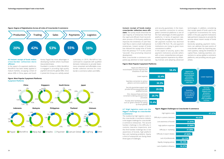#### **Figure: Degree of Digitalization Across all Links of Cross-border E-commerce**

#### **4.6 Instant receipt of funds makes cross-border collection more efficient**

In the aspect of e-payment platforms, WorldFirst has been widely applied in mature markets, occupying a share of above 40% in China, Japan and South



Korea; Paypal has more advantages in developing markets where Southeast Asia predominates.



Founded in London in 2004, WorldFirst is engaged in providing high-quality payment services for global SMEs. Since it joined Ant Group as a wholly-owned

subsidiary in 2019, WorldFirst has continued to cooperate with qualified domestic institutions to provide faster, more convenient and affordable crossborder collection services for crossborder e-commerce sellers and SMEs.

#### **Figure: Most Popular E-payment Platforms**

#### **4.7 High logistics costs are the biggest challenge to cross-border e-commerce**

The stubbornly-high logistics costs in the cross-border e-commerce industry is the largest challenge for cross-border e-commerce enterprises. The second hardest challenge is the difficulty in customs clearance inspections, and the third hardest challenge lies in low awareness of brands, high platform fees and marketing problems. Nearly a third of enterprises are facing these three types of challenges.

#### **Instant receipt of funds makes cross-border collection more effi-**

**cient.** The survey results show that the vast majority of enterprises hold that the rapid and efficient fund reconciliation process of third-party platforms improves the timeliness of cash flow. Cash flow is vital to small multinational enterprises. Instant receipt of funds has reduced the receipt time of funds from the previous "T+7" to the current "seconds", thus promoting industrial development.

Most cross-border e-commerce companies pay attention to lower expenses



and security guarantees. In the meantime, seamless connection to various global commercial platforms is one of the main advantages of online payment platforms. In terms of payment rate, currently the average rate of cross-border payment markets has declined to 0.6%-0.7% from 1%, and payment institutions are trying to grant more concessions to sellers.

In the aspect of security, quite a few payment institutions provide sellers with a more comprehensive and guaranteed payment experience by obtaining licenses and adopting advanced

technologies. In addition, considering that receipt speed of funds used to be a significant inconvenience for many sellers in the past, payment institutions take pertinent measures to provide the services about instant receipt of funds for sellers.

Generally speaking, payment institutions can address the pain points of cross-border sellers by improving payment systems, raising the timeliness of capital flows, realizing seamless connections to various global e-commerce platforms, and providing security guarantees.

|       |       | Rapid and efficient fund<br>reconcilication process improves the<br>timeslines of cash flow      |
|-------|-------|--------------------------------------------------------------------------------------------------|
| 32.4% |       | Lower expense                                                                                    |
| 30.3% |       | Seamless connection to various<br>global e-commerce platforms                                    |
| 29.9% |       | Security guarantee: support and<br>provide technocal guarantee with<br>qualified licenses        |
|       | 20.7% | One -stop purchase and more<br>convenient ordering and paymment<br>processes                     |
|       | 15.4% | Provide other facilitating services,<br>such as "green channel" for setting<br>up shops globally |
|       |       |                                                                                                  |



#### **Figure: Biggest Challenges to Cross-border E-commerce**

Difficulty in customs clearance Low awareness of brands High platform expenses Difficulty in marketing Difficulty in export rebates



Rapidly changing policies

Lack of platform influence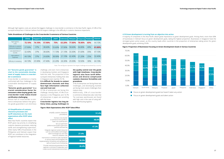**Table: Breakdown of Challenges to the Cross-border E-commerce of Various Countries**

Note: The red figures represent the largest challenge encountered by a country

#### **4.8 "Genuine goods guarantee" is vital to the sustainable development of supply chains in cross-border e-commerce**

Cross-border e-commerce is mainly confronted with four challenges in the sustainable development of supply chains:

#### **"Genuine goods guarantee" is a crucial consideration factor for consumers when buying goods, but cross-border trade makes brand certification challenging**

Almost half of cross-border e-commerce enterprises believe that genuine goods guarantee is an enormous

#### **4.9 Simplification of customs clearance processes and tariff reductions are the main expectations after RCEP takes effect**

Most Asia Pacific countries expect that RCEP gives top priority to simplifying customs clearance processes, reducing tariffs and strengthening supervision, while nearly 50% of businesses in the Philippines and Vietnam expect that RCEP can contribute to the integration of regional market resources.

зания в сериализация в сериализация в сериализация в сериализация в сериализация в сериализация в сериализация<br>Зб **Figure: Main Expectations after RCEP Takes Effect** simplify customs clearance procedures Exempt cross-border e-commerce from tariffs or lower non-tariff barriers Set up supervision platforms,formulate supervision policies and exercise Provide institutional guarantee for the regional e-commerce cooperation and create sound institutional environment Harmonize e-commerce sales standards in various areas and strengthen the implementation of policies and standards as well as mutual trust of enterprise Integrate regional market resources such as commodities technologies talent exchanges etc and raise resource utilization rate **51.4% 48.6% 47.3% 27.4% 26.5% 26.4%**

challenge, and even more enterprises in developing markets and Singapore hold this view. The proportion of the surveyed enterprises holding that view in Singapore even reaches 74.1%.

|                                               | <b>China</b> |        | Singapore South Korea | Japan  | Indonesia | <b>Malaysia</b> | <b>Philippines</b> Thailand |     | <b>Vietnam</b> |
|-----------------------------------------------|--------------|--------|-----------------------|--------|-----------|-----------------|-----------------------------|-----|----------------|
| High logistics<br>costs                       | 72.10%       | 74.10% | 57.90%                | 75%    | 63.20%    | 77.80%          | 78.90%                      | 65% | 44.10%         |
| Difficulty in customs<br>clearance inspection | 27.90%       | 37%    | 38.60%                | 55.60% | 57.90%    | 58.60%          | 36.80%                      | 40% | 61.80%         |
| Low awareness of<br>brands                    | 32.40%       | 37%    | 38.60%                | 11.10% | 21.10%    | 33.30%          | 31.60%                      | 35% | 47.10%         |
| High platform<br>expenses                     | 44.10%       | 37%    | 24.60%                | 38.90% | 21.10%    | 42.40%          | 21.20%                      | 25% | 32.40%         |
| Difficulty in marketing                       | 44.10%       | 25.90% | 47.40%                | 22.20% | 26.30%    | 29.30%          | 10.50%                      | 30% | 44.10%         |

**It is difficult for brands to contact downstream channels and they face high information collection cost and trust cost**

37.5% of enterprises are facing this challenge. Among them, 47.4% of enterprises in the Philippines and 16.7% of enterprises in Japan are wrestling with this issue.

#### **Cross-border logistics has long delivery times, posing challenges to**

**the quality control over the goods with high timeliness. Cross-border logistics also faces tariff differences and diverse complicated customs clearance formalities and** 

**procedures**

31% of enterprises are facing these two challenges, and developing markets are facing more severe challenges than

mature ones.

Additionally, 25% of cross-border e-commerce enterprises also note that "he overseas warehouses are faced with high cost in the case of using self-

built warehousing logistics.

Although high logistics costs are almost the biggest challenge in cross-border e-commerce in the Asia Pacific region, 61.8% of the surveyed enterprises in Vietnam believe that the largest challenge is the difficulty in customs clearance inspections.

#### **Figure: Proportion of Businesses Focusing on Green Development Goals in Various Countries**

#### **4.10 Green development is turning from an objective into action**

A majority of companies in the Asia Pacific attach great importance to green development goals. Among them, more than 60% of businesses in Vietnam focus on green development goals, taking the highest proportion. Businesses in Singapore have the strongest green action power, as this country leads other countries in the proportion of enterprises taking action for green development goals, achieving 29.6%.

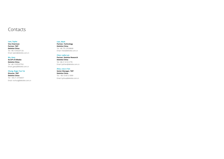## Contacts

#### **Lam, Taylor**

**Vice Chairman Partner, TMT Deloitte China** Tel: +86 10 85207126 Email: talam@deloitte.com.cn

#### **Wu, Gary**

**GLCSP of Alibaba Deloitte China** Tel: +86 10 85207762 Email: gawu@deloitte.com.cn

#### **Chung, Roger Yun Tai**

**Director, TMT Deloitte China** Tel: + 86 21 23166657 Email: rochung@deloitte.com.cn

### **Lian, Mark**

**Partner, Technology Deloitte China** Tel: +86 755 33538668 Email: mlian@deloitte.com.cn

### **Chen, Lydia Lan**

**Partner, Deloitte Research Deloitte China** Tel: +86 21 61412778 Email: lydchen@deloitte.com.cn

## **Zhou, Lisa Li Yan**

**Senior Manager, TMT Deloitte China** Tel: + 86 10 8512 5909 Email: liyzhou@deloitte.com.cn